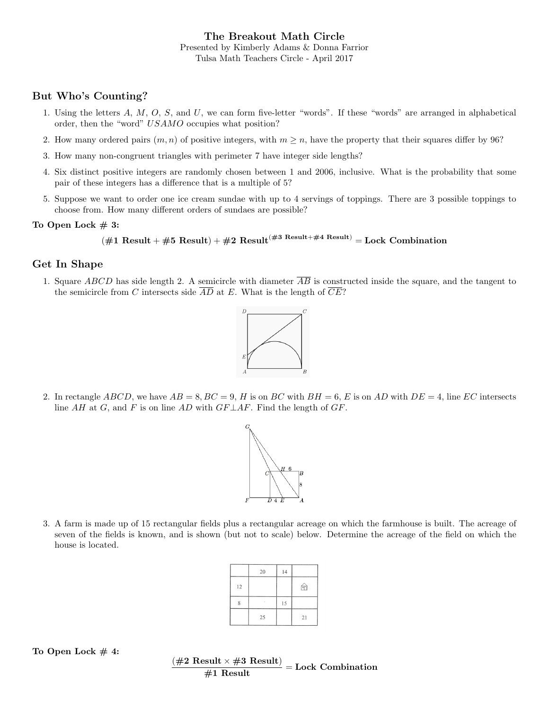The Breakout Math Circle Presented by Kimberly Adams & Donna Farrior Tulsa Math Teachers Circle - April 2017

### But Who's Counting?

- 1. Using the letters  $A, M, O, S$ , and  $U$ , we can form five-letter "words". If these "words" are arranged in alphabetical order, then the "word" USAMO occupies what position?
- 2. How many ordered pairs  $(m, n)$  of positive integers, with  $m \geq n$ , have the property that their squares differ by 96?
- 3. How many non-congruent triangles with perimeter 7 have integer side lengths?
- 4. Six distinct positive integers are randomly chosen between 1 and 2006, inclusive. What is the probability that some pair of these integers has a difference that is a multiple of 5?
- 5. Suppose we want to order one ice cream sundae with up to 4 servings of toppings. There are 3 possible toppings to choose from. How many different orders of sundaes are possible?

#### To Open Lock  $#3$ :

```
(#1 Result + #5 Result) + #2 Result<sup>(#3 Result+#4 Result)</sup> = Lock Combination
```
#### Get In Shape

1. Square ABCD has side length 2. A semicircle with diameter  $\overline{AB}$  is constructed inside the square, and the tangent to the semicircle from C intersects side  $\overline{AD}$  at E. What is the length of  $\overline{CE}$ ?



2. In rectangle ABCD, we have  $AB = 8$ ,  $BC = 9$ , H is on BC with  $BH = 6$ , E is on AD with  $DE = 4$ , line EC intersects line AH at G, and F is on line AD with  $GF \perp AF$ . Find the length of GF.



3. A farm is made up of 15 rectangular fields plus a rectangular acreage on which the farmhouse is built. The acreage of seven of the fields is known, and is shown (but not to scale) below. Determine the acreage of the field on which the house is located.

|    | 20 | 14 |    |  |
|----|----|----|----|--|
| 12 |    |    | 'n |  |
| 8  | ٠  | 15 |    |  |
|    | 25 |    | 21 |  |

#### To Open Lock  $#4$ :

 $\frac{(\#2 \text{ Result} \times \#3 \text{ Result})}{\#1 \text{ Result}} = \text{Lock Combination}$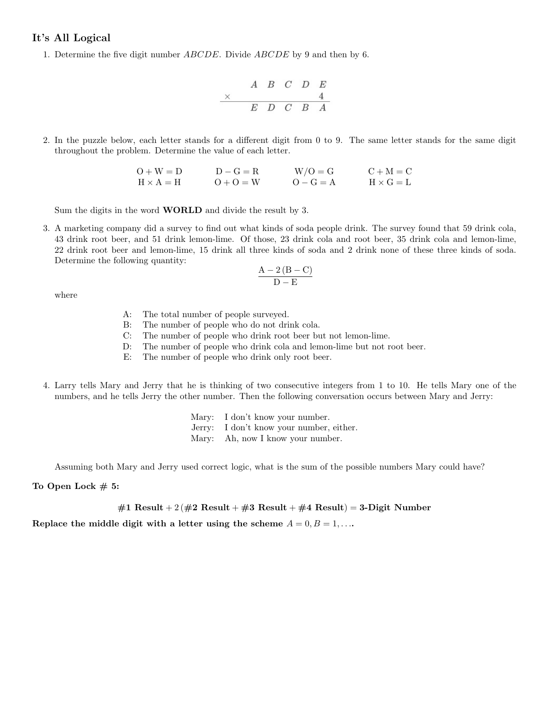#### It's All Logical

1. Determine the five digit number ABCDE. Divide ABCDE by 9 and then by 6.

2. In the puzzle below, each letter stands for a different digit from 0 to 9. The same letter stands for the same digit throughout the problem. Determine the value of each letter.

$$
\begin{array}{ccc}\nO+W=D & D-G=R & W/O=G & C+M=C \\
H \times A=H & O+O=W & O-G=A & H \times G=L\n\end{array}
$$

Sum the digits in the word **WORLD** and divide the result by 3.

3. A marketing company did a survey to find out what kinds of soda people drink. The survey found that 59 drink cola, 43 drink root beer, and 51 drink lemon-lime. Of those, 23 drink cola and root beer, 35 drink cola and lemon-lime, 22 drink root beer and lemon-lime, 15 drink all three kinds of soda and 2 drink none of these three kinds of soda. Determine the following quantity:

$$
\frac{A-2\left( B-C\right) }{D-E}
$$

where

- A: The total number of people surveyed.
- B: The number of people who do not drink cola.
- C: The number of people who drink root beer but not lemon-lime.
- D: The number of people who drink cola and lemon-lime but not root beer.
- E: The number of people who drink only root beer.
- 4. Larry tells Mary and Jerry that he is thinking of two consecutive integers from 1 to 10. He tells Mary one of the numbers, and he tells Jerry the other number. Then the following conversation occurs between Mary and Jerry:

| Mary: I don't know your number.          |
|------------------------------------------|
| Jerry: I don't know your number, either. |
| Mary: Ah, now I know your number.        |

Assuming both Mary and Jerry used correct logic, what is the sum of the possible numbers Mary could have?

#### To Open Lock  $# 5$ :

#1 Result + 2 (#2 Result + #3 Result + #4 Result) = 3-Digit Number

Replace the middle digit with a letter using the scheme  $A = 0, B = 1, \ldots$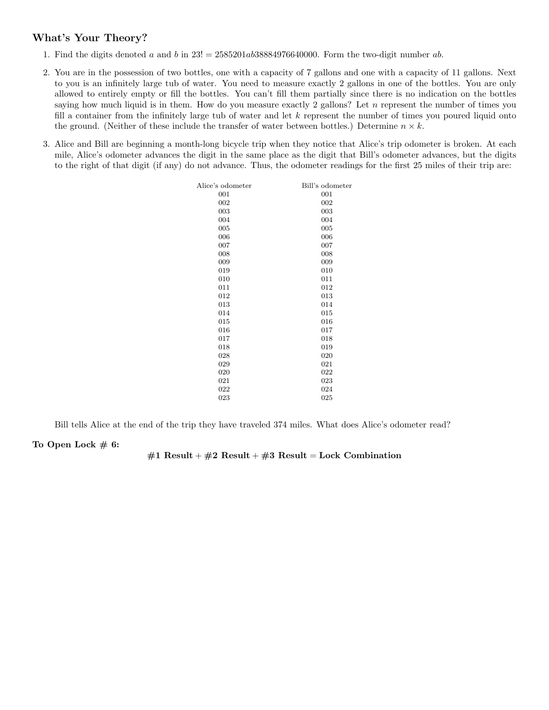# What's Your Theory?

- 1. Find the digits denoted a and b in  $23! = 2585201ab38884976640000$ . Form the two-digit number ab.
- 2. You are in the possession of two bottles, one with a capacity of 7 gallons and one with a capacity of 11 gallons. Next to you is an infinitely large tub of water. You need to measure exactly 2 gallons in one of the bottles. You are only allowed to entirely empty or fill the bottles. You can't fill them partially since there is no indication on the bottles saying how much liquid is in them. How do you measure exactly 2 gallons? Let  $n$  represent the number of times you fill a container from the infinitely large tub of water and let  $k$  represent the number of times you poured liquid onto the ground. (Neither of these include the transfer of water between bottles.) Determine  $n \times k$ .
- 3. Alice and Bill are beginning a month-long bicycle trip when they notice that Alice's trip odometer is broken. At each mile, Alice's odometer advances the digit in the same place as the digit that Bill's odometer advances, but the digits to the right of that digit (if any) do not advance. Thus, the odometer readings for the first 25 miles of their trip are:

| Alice's odometer | Bill's odometer |
|------------------|-----------------|
| 001              | 001             |
| 002              | 002             |
| 003              | 003             |
| 004              | 004             |
| 005              | 005             |
| 006              | 006             |
| 007              | 007             |
| 008              | 008             |
| 009              | 009             |
| 019              | 010             |
| 010              | 011             |
| 011              | 012             |
| 012              | 013             |
| 013              | 014             |
| 014              | 015             |
| 015              | 016             |
| 016              | 017             |
| 017              | 018             |
| 018              | 019             |
| 028              | 020             |
| 029              | 021             |
| 020              | 022             |
| 021              | 023             |
| 022              | 024             |
| 023              | 025             |

Bill tells Alice at the end of the trip they have traveled 374 miles. What does Alice's odometer read?

#### To Open Lock  $# 6:$

#### #1 Result + #2 Result + #3 Result = Lock Combination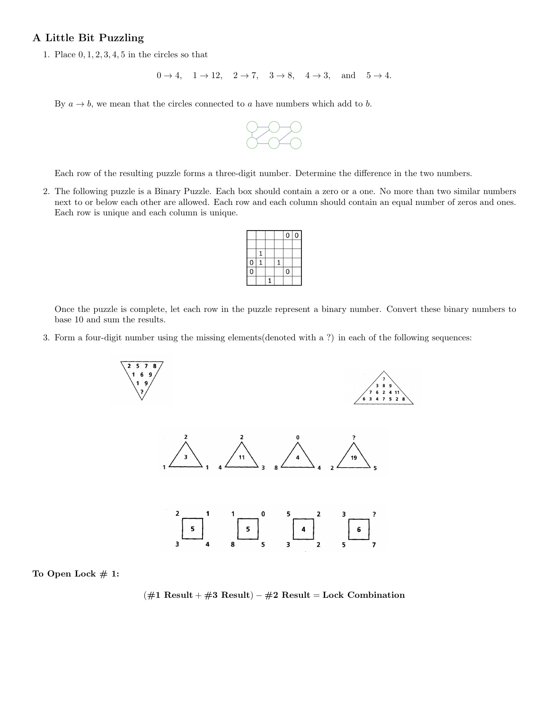## A Little Bit Puzzling

1. Place  $0, 1, 2, 3, 4, 5$  in the circles so that

```
0 \rightarrow 4, 1 \rightarrow 12, 2 \rightarrow 7, 3 \rightarrow 8, 4 \rightarrow 3, and 5 \rightarrow 4.
```
By  $a \to b$ , we mean that the circles connected to a have numbers which add to b.



Each row of the resulting puzzle forms a three-digit number. Determine the difference in the two numbers.

2. The following puzzle is a Binary Puzzle. Each box should contain a zero or a one. No more than two similar numbers next to or below each other are allowed. Each row and each column should contain an equal number of zeros and ones. Each row is unique and each column is unique.

|                |  |   | 0           | 0 |
|----------------|--|---|-------------|---|
|                |  |   |             |   |
|                |  |   |             |   |
| $\overline{0}$ |  | 1 |             |   |
| O              |  |   | $\mathbf 0$ |   |
|                |  |   |             |   |

Once the puzzle is complete, let each row in the puzzle represent a binary number. Convert these binary numbers to base 10 and sum the results.

3. Form a four-digit number using the missing elements(denoted with a ?) in each of the following sequences:



To Open Lock  $# 1$ :

 $(\#1$  Result +  $\#3$  Result –  $\#2$  Result = Lock Combination